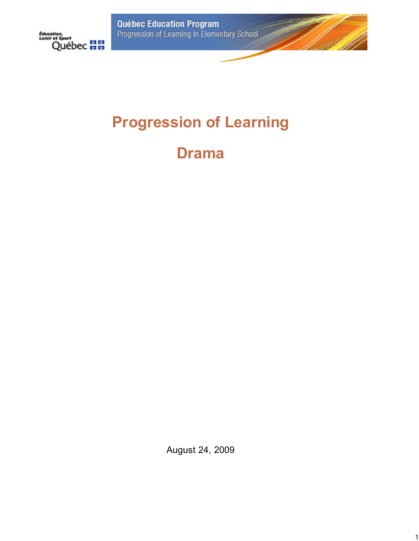**Québec Education Program**<br>Progression of Learning in Elementary School



# **Progression of Learning**

**Drama**

August 24, 2009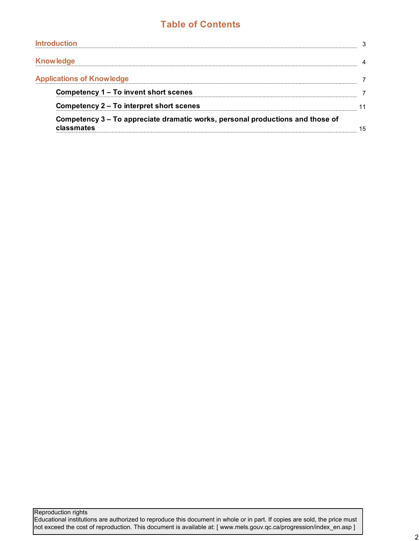## **Table of Contents**

| <b>Introduction</b>                                                                          | 3  |
|----------------------------------------------------------------------------------------------|----|
| <b>Knowledge</b>                                                                             |    |
| <b>Applications of Knowledge</b>                                                             | 7  |
| Competency 1 – To invent short scenes                                                        |    |
| Competency 2 – To interpret short scenes                                                     | 11 |
| Competency 3 – To appreciate dramatic works, personal productions and those of<br>classmates | 15 |

Reproduction rights

Educational institutions are authorized to reproduce this document in whole or in part. If copies are sold, the price must not exceed the cost of reproduction. This document is available at: [ www.mels.gouv.qc.ca/progression/index\_en.asp ]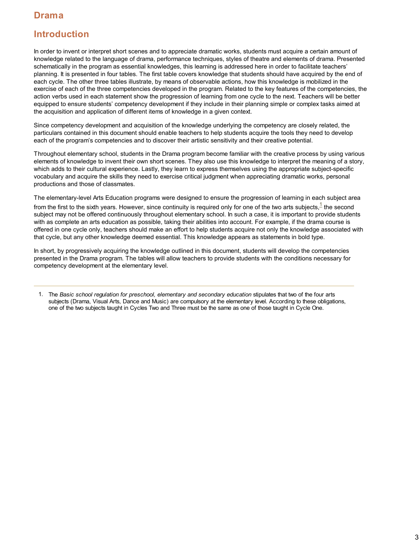### **Introduction**

In order to invent or interpret short scenes and to appreciate dramatic works, students must acquire a certain amount of knowledge related to the language of drama, performance techniques, styles of theatre and elements of drama. Presented schematically in the program as essential knowledges, this learning is addressed here in order to facilitate teachers' planning. It is presented in four tables. The first table covers knowledge that students should have acquired by the end of each cycle. The other three tables illustrate, by means of observable actions, how this knowledge is mobilized in the exercise of each of the three competencies developed in the program. Related to the key features of the competencies, the action verbs used in each statement show the progression of learning from one cycle to the next. Teachers will be better equipped to ensure students' competency development if they include in their planning simple or complex tasks aimed at the acquisition and application of different items of knowledge in a given context.

Since competency development and acquisition of the knowledge underlying the competency are closely related, the particulars contained in this document should enable teachers to help students acquire the tools they need to develop each of the program's competencies and to discover their artistic sensitivity and their creative potential.

Throughout elementary school, students in the Drama program become familiar with the creative process by using various elements of knowledge to invent their own short scenes. They also use this knowledge to interpret the meaning of a story, which adds to their cultural experience. Lastly, they learn to express themselves using the appropriate subject-specific vocabulary and acquire the skills they need to exercise critical judgment when appreciating dramatic works, personal productions and those of classmates.

The elementary-level Arts Education programs were designed to ensure the progression of learning in each subject area from the first to the sixth years. However, since continuity is required only for one of the two arts subjects, $^{\rm 1}$  the second subject may not be offered continuously throughout elementary school. In such a case, it is important to provide students with as complete an arts education as possible, taking their abilities into account. For example, if the drama course is offered in one cycle only, teachers should make an effort to help students acquire not only the knowledge associated with that cycle, but any other knowledge deemed essential. This knowledge appears as statements in bold type.

In short, by progressively acquiring the knowledge outlined in this document, students will develop the competencies presented in the Drama program. The tables will allow teachers to provide students with the conditions necessary for competency development at the elementary level.

<sup>1.</sup> The *Basic school regulation for preschool, elementary and secondary education* stipulates that two of the four arts subjects (Drama, Visual Arts, Dance and Music) are compulsory at the elementary level. According to these obligations, one of the two subjects taught in Cycles Two and Three must be the same as one of those taught in Cycle One.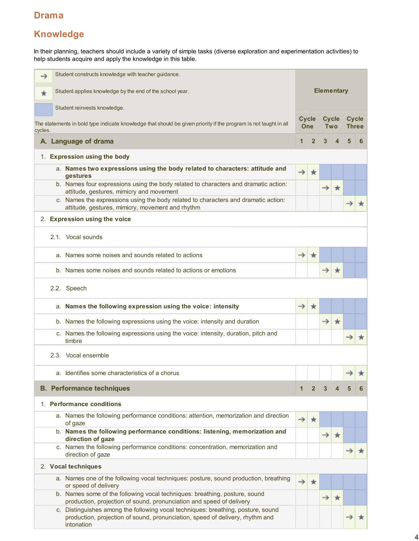# **Knowledge**

In their planning, teachers should include a variety of simple tasks (diverse exploration and experimentation activities) to help students acquire and apply the knowledge in this table.

| →       | Student constructs knowledge with teacher guidance.                                                                                                                             |               |                            |                   |                         |                              |   |
|---------|---------------------------------------------------------------------------------------------------------------------------------------------------------------------------------|---------------|----------------------------|-------------------|-------------------------|------------------------------|---|
| ÷       | Student applies knowledge by the end of the school year.                                                                                                                        |               |                            | <b>Elementary</b> |                         |                              |   |
|         | Student reinvests knowledge.                                                                                                                                                    |               |                            |                   |                         |                              |   |
| cycles. | The statements in bold type indicate knowledge that should be given priority if the program is not taught in all                                                                |               | <b>Cycle</b><br><b>One</b> | <b>Cycle</b>      | <b>Two</b>              | <b>Cycle</b><br><b>Three</b> |   |
|         | A. Language of drama                                                                                                                                                            | 1             | $\overline{2}$             | $\mathbf{3}$      | $\overline{\mathbf{A}}$ | 5                            | 6 |
|         | 1. Expression using the body                                                                                                                                                    |               |                            |                   |                         |                              |   |
|         | a. Names two expressions using the body related to characters: attitude and<br>gestures                                                                                         | $\rightarrow$ | $\star$                    |                   |                         |                              |   |
|         | b. Names four expressions using the body related to characters and dramatic action:<br>attitude, gestures, mimicry and movement                                                 |               |                            | $\rightarrow$     | ∗                       |                              |   |
|         | c. Names the expressions using the body related to characters and dramatic action:<br>attitude, gestures, mimicry, movement and rhythm                                          |               |                            |                   |                         |                              |   |
|         | 2. Expression using the voice                                                                                                                                                   |               |                            |                   |                         |                              |   |
|         | 2.1. Vocal sounds                                                                                                                                                               |               |                            |                   |                         |                              |   |
|         | a. Names some noises and sounds related to actions                                                                                                                              | $\rightarrow$ | ★                          |                   |                         |                              |   |
|         | b. Names some noises and sounds related to actions or emotions                                                                                                                  |               |                            | →                 | $\star$                 |                              |   |
|         | 2.2. Speech                                                                                                                                                                     |               |                            |                   |                         |                              |   |
|         | a. Names the following expression using the voice: intensity                                                                                                                    | $\rightarrow$ | $\star$                    |                   |                         |                              |   |
|         | b. Names the following expressions using the voice: intensity and duration                                                                                                      |               |                            | $\rightarrow$     | $\star$                 |                              |   |
|         | c. Names the following expressions using the voice: intensity, duration, pitch and<br>timbre                                                                                    |               |                            |                   |                         | →                            |   |
|         | 2.3. Vocal ensemble                                                                                                                                                             |               |                            |                   |                         |                              |   |
|         | a. Identifies some characteristics of a chorus                                                                                                                                  |               |                            |                   |                         | $\rightarrow$                |   |
|         | <b>B. Performance techniques</b>                                                                                                                                                |               | $\mathbf{2}$               |                   |                         |                              |   |
|         | 1. Performance conditions                                                                                                                                                       |               |                            |                   |                         |                              |   |
|         | a. Names the following performance conditions: attention, memorization and direction<br>of gaze                                                                                 | $\rightarrow$ | ★                          |                   |                         |                              |   |
|         | b. Names the following performance conditions: listening, memorization and<br>direction of gaze                                                                                 |               |                            | $\rightarrow$     | $\star$                 |                              |   |
|         | c. Names the following performance conditions: concentration, memorization and<br>direction of gaze                                                                             |               |                            |                   |                         |                              |   |
|         | 2. Vocal techniques                                                                                                                                                             |               |                            |                   |                         |                              |   |
|         | a. Names one of the following vocal techniques: posture, sound production, breathing<br>or speed of delivery                                                                    |               | $\star$                    |                   |                         |                              |   |
|         | b. Names some of the following vocal techniques: breathing, posture, sound<br>production, projection of sound, pronunciation and speed of delivery                              |               |                            | $\rightarrow$     | $\star$                 |                              |   |
|         | c. Distinguishes among the following vocal techniques: breathing, posture, sound<br>production, projection of sound, pronunciation, speed of delivery, rhythm and<br>intonation |               |                            |                   |                         |                              |   |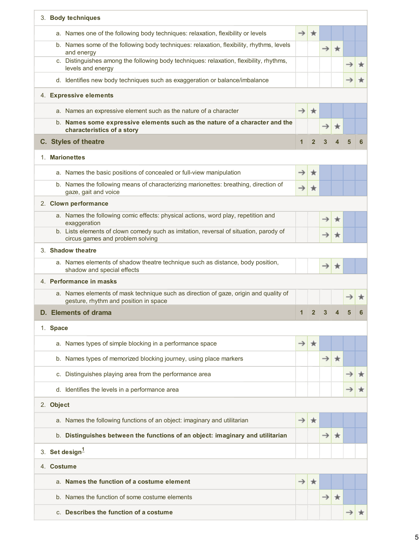| 3. Body techniques                                                                                                            |               |                |               |         |  |
|-------------------------------------------------------------------------------------------------------------------------------|---------------|----------------|---------------|---------|--|
| a. Names one of the following body techniques: relaxation, flexibility or levels                                              | $\rightarrow$ | $\star$        |               |         |  |
| b. Names some of the following body techniques: relaxation, flexibility, rhythms, levels<br>and energy                        |               |                | $\rightarrow$ | $\star$ |  |
| c. Distinguishes among the following body techniques: relaxation, flexibility, rhythms,<br>levels and energy                  |               |                |               |         |  |
| d. Identifies new body techniques such as exaggeration or balance/imbalance                                                   |               |                |               |         |  |
| 4. Expressive elements                                                                                                        |               |                |               |         |  |
| a. Names an expressive element such as the nature of a character                                                              | $\rightarrow$ | $\star$        |               |         |  |
| b. Names some expressive elements such as the nature of a character and the<br>characteristics of a story                     |               |                | →             | ★       |  |
| C. Styles of theatre                                                                                                          | 1             | $\mathbf{2}$   |               |         |  |
| 1. Marionettes                                                                                                                |               |                |               |         |  |
| a. Names the basic positions of concealed or full-view manipulation                                                           | →             | ∗              |               |         |  |
| b. Names the following means of characterizing marionettes: breathing, direction of<br>gaze, gait and voice                   | →             | ★              |               |         |  |
| 2. Clown performance                                                                                                          |               |                |               |         |  |
| a. Names the following comic effects: physical actions, word play, repetition and<br>exaggeration                             |               |                |               | ★       |  |
| b. Lists elements of clown comedy such as imitation, reversal of situation, parody of<br>circus games and problem solving     |               |                |               | ★       |  |
| 3. Shadow theatre                                                                                                             |               |                |               |         |  |
| a. Names elements of shadow theatre technique such as distance, body position,<br>shadow and special effects                  |               |                | →             | $\star$ |  |
| 4. Performance in masks                                                                                                       |               |                |               |         |  |
| a. Names elements of mask technique such as direction of gaze, origin and quality of<br>gesture, rhythm and position in space |               |                |               |         |  |
| D. Elements of drama                                                                                                          | 1             | $\overline{2}$ | 3             |         |  |
| 1. Space                                                                                                                      |               |                |               |         |  |
| a. Names types of simple blocking in a performance space                                                                      | →             | ∗              |               |         |  |
| b. Names types of memorized blocking journey, using place markers                                                             |               |                |               | $\star$ |  |
|                                                                                                                               |               |                | →             |         |  |
| c. Distinguishes playing area from the performance area                                                                       |               |                |               |         |  |
| d. Identifies the levels in a performance area                                                                                |               |                |               |         |  |
| 2. Object                                                                                                                     |               |                |               |         |  |
| a. Names the following functions of an object: imaginary and utilitarian                                                      | →             | ★              |               |         |  |
| b. Distinguishes between the functions of an object: imaginary and utilitarian                                                |               |                | $\rightarrow$ | $\star$ |  |
| 3. Set design <sup>1</sup>                                                                                                    |               |                |               |         |  |
| 4. Costume                                                                                                                    |               |                |               |         |  |
| a. Names the function of a costume element                                                                                    | →             |                |               |         |  |
| b. Names the function of some costume elements                                                                                |               |                | →             | $\star$ |  |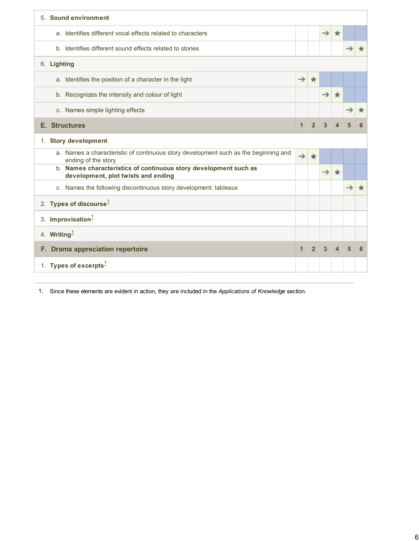| 5. Sound environment                                                                                       |               |                |               |         |   |   |
|------------------------------------------------------------------------------------------------------------|---------------|----------------|---------------|---------|---|---|
| a. Identifies different vocal effects related to characters                                                |               |                | $\rightarrow$ | ∗       |   |   |
| b. Identifies different sound effects related to stories                                                   |               |                |               |         |   |   |
| 6. Lighting                                                                                                |               |                |               |         |   |   |
| a. Identifies the position of a character in the light                                                     | $\rightarrow$ | $\star$        |               |         |   |   |
| b. Recognizes the intensity and colour of light                                                            |               |                | $\rightarrow$ | $\star$ |   |   |
| c. Names simple lighting effects                                                                           |               |                |               |         |   |   |
| <b>E.</b> Structures                                                                                       | $\mathbf 1$   | $\overline{2}$ | $\mathbf{3}$  |         |   |   |
| 1. Story development                                                                                       |               |                |               |         |   |   |
| a. Names a characteristic of continuous story development such as the beginning and<br>ending of the story | $\rightarrow$ | $\star$        |               |         |   |   |
| b. Names characteristics of continuous story development such as<br>development, plot twists and ending    |               |                | $\rightarrow$ | $\star$ |   |   |
| c. Names the following discontinuous story development: tableaux                                           |               |                |               |         |   |   |
| 2. Types of discourse $1$                                                                                  |               |                |               |         |   |   |
| 3. Improvisation $1$                                                                                       |               |                |               |         |   |   |
| 4. Writing $1$                                                                                             |               |                |               |         |   |   |
| F. Drama appreciation repertoire                                                                           | $\mathbf 1$   | $\overline{2}$ | $\mathbf{3}$  |         | 5 | 6 |
| 1. Types of excerpts $^1$                                                                                  |               |                |               |         |   |   |

1. Since these elements are evident in action, they are included in the *Applications of Knowledge* section*.*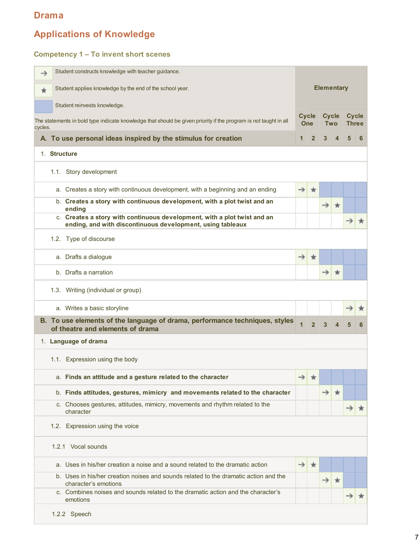# **Applications of Knowledge**

#### **Competency 1 – To invent short scenes**

| →       | Student constructs knowledge with teacher guidance.                                                                                    |                |                            |                   |                            |                              |   |
|---------|----------------------------------------------------------------------------------------------------------------------------------------|----------------|----------------------------|-------------------|----------------------------|------------------------------|---|
| $\star$ | Student applies knowledge by the end of the school year.                                                                               |                |                            | <b>Elementary</b> |                            |                              |   |
|         | Student reinvests knowledge.                                                                                                           |                |                            |                   |                            |                              |   |
| cycles. | The statements in bold type indicate knowledge that should be given priority if the program is not taught in all                       |                | <b>Cycle</b><br><b>One</b> |                   | <b>Cycle</b><br><b>Two</b> | <b>Cycle</b><br><b>Three</b> |   |
|         | A. To use personal ideas inspired by the stimulus for creation                                                                         | $\mathbf 1$    | $\overline{2}$             | 3                 | $\boldsymbol{\Delta}$      | 5                            | 6 |
|         | 1. Structure                                                                                                                           |                |                            |                   |                            |                              |   |
|         | 1.1. Story development                                                                                                                 |                |                            |                   |                            |                              |   |
|         | a. Creates a story with continuous development, with a beginning and an ending                                                         | $\rightarrow$  | $\star$                    |                   |                            |                              |   |
|         | b. Creates a story with continuous development, with a plot twist and an<br>ending                                                     |                |                            | $\rightarrow$     | $\star$                    |                              |   |
|         | c. Creates a story with continuous development, with a plot twist and an<br>ending, and with discontinuous development, using tableaux |                |                            |                   |                            | $\rightarrow$                |   |
|         | 1.2. Type of discourse                                                                                                                 |                |                            |                   |                            |                              |   |
|         | a. Drafts a dialogue                                                                                                                   | $\rightarrow$  | $\star$                    |                   |                            |                              |   |
|         | b. Drafts a narration                                                                                                                  |                |                            | →                 | $\star$                    |                              |   |
|         | 1.3. Writing (individual or group)                                                                                                     |                |                            |                   |                            |                              |   |
|         | a. Writes a basic storyline                                                                                                            |                |                            |                   |                            |                              |   |
|         | B. To use elements of the language of drama, performance techniques, styles<br>of theatre and elements of drama                        | $\overline{1}$ | $\overline{2}$             | 3                 |                            | 5                            | 6 |
|         | 1. Language of drama                                                                                                                   |                |                            |                   |                            |                              |   |
|         | 1.1. Expression using the body                                                                                                         |                |                            |                   |                            |                              |   |
|         | a. Finds an attitude and a gesture related to the character                                                                            |                |                            |                   |                            |                              |   |
|         | b. Finds attitudes, gestures, mimicry and movements related to the character                                                           |                |                            | →                 | $\star$                    |                              |   |
|         | c. Chooses gestures, attitudes, mimicry, movements and rhythm related to the<br>character                                              |                |                            |                   |                            |                              |   |
|         | 1.2. Expression using the voice                                                                                                        |                |                            |                   |                            |                              |   |
|         | 1.2.1 Vocal sounds                                                                                                                     |                |                            |                   |                            |                              |   |
|         | a. Uses in his/her creation a noise and a sound related to the dramatic action                                                         | $\rightarrow$  | ★                          |                   |                            |                              |   |
|         | b. Uses in his/her creation noises and sounds related to the dramatic action and the<br>character's emotions                           |                |                            | →                 | $\star$                    |                              |   |
|         | c. Combines noises and sounds related to the dramatic action and the character's<br>emotions                                           |                |                            |                   |                            |                              |   |
|         | 1.2.2 Speech                                                                                                                           |                |                            |                   |                            |                              |   |

7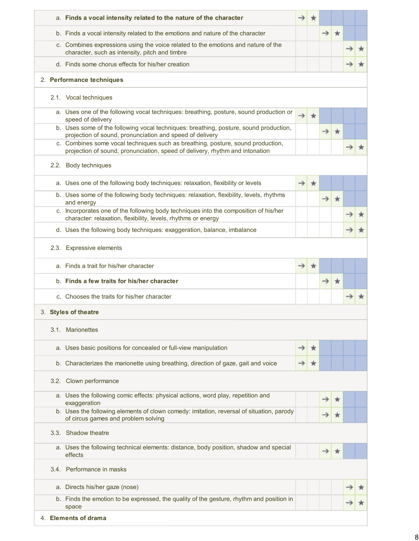|  | a. Finds a vocal intensity related to the nature of the character                                                                                               |               | ★       |               |         |  |
|--|-----------------------------------------------------------------------------------------------------------------------------------------------------------------|---------------|---------|---------------|---------|--|
|  | b. Finds a vocal intensity related to the emotions and nature of the character                                                                                  |               |         | $\rightarrow$ | $\star$ |  |
|  | c. Combines expressions using the voice related to the emotions and nature of the<br>character, such as intensity, pitch and timbre                             |               |         |               |         |  |
|  | d. Finds some chorus effects for his/her creation                                                                                                               |               |         |               |         |  |
|  | 2. Performance techniques                                                                                                                                       |               |         |               |         |  |
|  | 2.1. Vocal techniques                                                                                                                                           |               |         |               |         |  |
|  | a. Uses one of the following vocal techniques: breathing, posture, sound production or<br>speed of delivery                                                     | $\rightarrow$ | $\star$ |               |         |  |
|  | b. Uses some of the following vocal techniques: breathing, posture, sound production,<br>projection of sound, pronunciation and speed of delivery               |               |         | $\rightarrow$ | $\star$ |  |
|  | c. Combines some vocal techniques such as breathing, posture, sound production,<br>projection of sound, pronunciation, speed of delivery, rhythm and intonation |               |         |               |         |  |
|  | 2.2. Body techniques                                                                                                                                            |               |         |               |         |  |
|  | a. Uses one of the following body techniques: relaxation, flexibility or levels                                                                                 | →             | ★       |               |         |  |
|  | b. Uses some of the following body techniques: relaxation, flexibility, levels, rhythms<br>and energy                                                           |               |         | $\rightarrow$ | $\star$ |  |
|  | c. Incorporates one of the following body techniques into the composition of his/her<br>character: relaxation, flexibility, levels, rhythms or energy           |               |         |               |         |  |
|  | d. Uses the following body techniques: exaggeration, balance, imbalance                                                                                         |               |         |               |         |  |
|  | 2.3. Expressive elements                                                                                                                                        |               |         |               |         |  |
|  | a. Finds a trait for his/her character                                                                                                                          | →             | ★       |               |         |  |
|  | b. Finds a few traits for his/her character                                                                                                                     |               |         | $\rightarrow$ | $\star$ |  |
|  | c. Chooses the traits for his/her character                                                                                                                     |               |         |               |         |  |
|  | 3. Styles of theatre                                                                                                                                            |               |         |               |         |  |
|  | 3.1. Marionettes                                                                                                                                                |               |         |               |         |  |
|  | a. Uses basic positions for concealed or full-view manipulation                                                                                                 | →             | ж       |               |         |  |
|  | b. Characterizes the marionette using breathing, direction of gaze, gait and voice                                                                              |               | ★       |               |         |  |
|  | 3.2. Clown performance                                                                                                                                          |               |         |               |         |  |
|  | a. Uses the following comic effects: physical actions, word play, repetition and<br>exaggeration                                                                |               |         |               |         |  |
|  | b. Uses the following elements of clown comedy: imitation, reversal of situation, parody<br>of circus games and problem solving                                 |               |         |               |         |  |
|  | 3.3. Shadow theatre                                                                                                                                             |               |         |               |         |  |
|  | a. Uses the following technical elements: distance, body position, shadow and special<br>effects                                                                |               |         | →             |         |  |
|  | 3.4. Performance in masks                                                                                                                                       |               |         |               |         |  |
|  | a. Directs his/her gaze (nose)                                                                                                                                  |               |         |               |         |  |
|  | b. Finds the emotion to be expressed, the quality of the gesture, rhythm and position in<br>space                                                               |               |         |               |         |  |
|  | 4. Elements of drama                                                                                                                                            |               |         |               |         |  |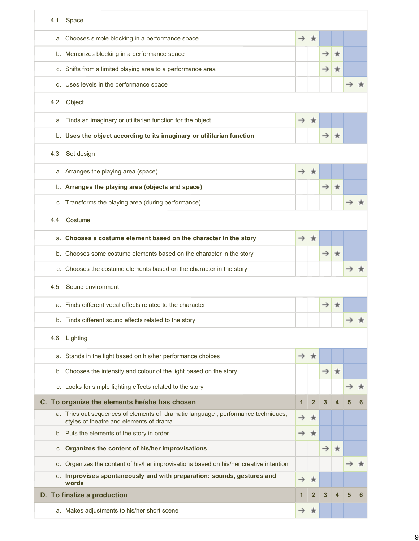| 4.1. Space                                                                                                                  |               |                         |               |         |               |   |
|-----------------------------------------------------------------------------------------------------------------------------|---------------|-------------------------|---------------|---------|---------------|---|
| a. Chooses simple blocking in a performance space                                                                           | $\rightarrow$ | ★                       |               |         |               |   |
| b. Memorizes blocking in a performance space                                                                                |               |                         |               |         |               |   |
| c. Shifts from a limited playing area to a performance area                                                                 |               |                         | →             |         |               |   |
| d. Uses levels in the performance space                                                                                     |               |                         |               |         |               |   |
| 4.2. Object                                                                                                                 |               |                         |               |         |               |   |
| a. Finds an imaginary or utilitarian function for the object                                                                | $\rightarrow$ | ★                       |               |         |               |   |
| b. Uses the object according to its imaginary or utilitarian function                                                       |               |                         |               |         |               |   |
| 4.3. Set design                                                                                                             |               |                         |               |         |               |   |
| a. Arranges the playing area (space)                                                                                        | $\rightarrow$ | ★                       |               |         |               |   |
| b. Arranges the playing area (objects and space)                                                                            |               |                         | $\rightarrow$ | $\star$ |               |   |
| c. Transforms the playing area (during performance)                                                                         |               |                         |               |         |               |   |
| 4.4. Costume                                                                                                                |               |                         |               |         |               |   |
| a. Chooses a costume element based on the character in the story                                                            | $\rightarrow$ | ★                       |               |         |               |   |
| b. Chooses some costume elements based on the character in the story                                                        |               |                         | →             | ∗       |               |   |
| c. Chooses the costume elements based on the character in the story                                                         |               |                         |               |         |               |   |
| 4.5. Sound environment                                                                                                      |               |                         |               |         |               |   |
| a. Finds different vocal effects related to the character                                                                   |               |                         |               |         |               |   |
| b. Finds different sound effects related to the story                                                                       |               |                         |               |         |               |   |
| 4.6. Lighting                                                                                                               |               |                         |               |         |               |   |
| a. Stands in the light based on his/her performance choices                                                                 | $\rightarrow$ | ★                       |               |         |               |   |
| b. Chooses the intensity and colour of the light based on the story                                                         |               |                         | $\rightarrow$ | $\star$ |               |   |
| c. Looks for simple lighting effects related to the story                                                                   |               |                         |               |         | $\rightarrow$ | × |
| C. To organize the elements he/she has chosen                                                                               | 1             | $\overline{2}$          | 3             |         | 5             | 6 |
| a. Tries out sequences of elements of dramatic language, performance techniques,<br>styles of theatre and elements of drama | $\rightarrow$ | ★                       |               |         |               |   |
| b. Puts the elements of the story in order                                                                                  | $\rightarrow$ | $\star$                 |               |         |               |   |
| c. Organizes the content of his/her improvisations                                                                          |               |                         | $\rightarrow$ | $\star$ |               |   |
| d. Organizes the content of his/her improvisations based on his/her creative intention                                      |               |                         |               |         | $\rightarrow$ | ★ |
| Improvises spontaneously and with preparation: sounds, gestures and<br>е.<br>words                                          | →             | ₩                       |               |         |               |   |
| D. To finalize a production                                                                                                 |               | $\overline{\mathbf{2}}$ | 3             |         | 5             | 6 |
| a. Makes adjustments to his/her short scene                                                                                 | →             | ★                       |               |         |               |   |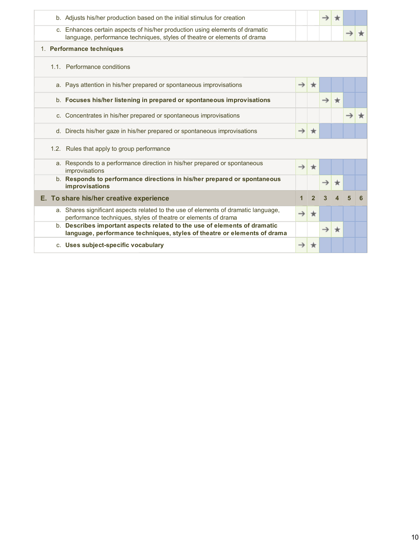| b. Adjusts his/her production based on the initial stimulus for creation                                                                                 |               |                | $\rightarrow$ |         |   |   |
|----------------------------------------------------------------------------------------------------------------------------------------------------------|---------------|----------------|---------------|---------|---|---|
| c. Enhances certain aspects of his/her production using elements of dramatic<br>language, performance techniques, styles of theatre or elements of drama |               |                |               |         |   |   |
| 1. Performance techniques                                                                                                                                |               |                |               |         |   |   |
| 1.1. Performance conditions                                                                                                                              |               |                |               |         |   |   |
| a. Pays attention in his/her prepared or spontaneous improvisations                                                                                      | $\rightarrow$ | $\star$        |               |         |   |   |
| b. Focuses his/her listening in prepared or spontaneous improvisations                                                                                   |               |                | $\rightarrow$ | $\star$ |   |   |
| c. Concentrates in his/her prepared or spontaneous improvisations                                                                                        |               |                |               |         |   |   |
| d. Directs his/her gaze in his/her prepared or spontaneous improvisations                                                                                | $\rightarrow$ | $\star$        |               |         |   |   |
| 1.2. Rules that apply to group performance                                                                                                               |               |                |               |         |   |   |
| a. Responds to a performance direction in his/her prepared or spontaneous<br>improvisations                                                              | $\rightarrow$ | $\star$        |               |         |   |   |
| b. Responds to performance directions in his/her prepared or spontaneous<br>improvisations                                                               |               |                |               |         |   |   |
| E. To share his/her creative experience                                                                                                                  | $\mathbf{1}$  | $\overline{2}$ | 3             |         | 5 | 6 |
| a. Shares significant aspects related to the use of elements of dramatic language,<br>performance techniques, styles of theatre or elements of drama     |               | ★              |               |         |   |   |
| b. Describes important aspects related to the use of elements of dramatic<br>language, performance techniques, styles of theatre or elements of drama    |               |                | $\rightarrow$ | ×       |   |   |
| c. Uses subject-specific vocabulary                                                                                                                      |               |                |               |         |   |   |
|                                                                                                                                                          |               |                |               |         |   |   |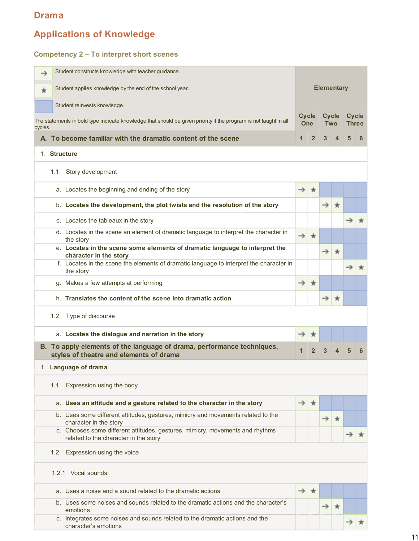# **Applications of Knowledge**

## **Competency 2 – To interpret short scenes**

| →       | Student constructs knowledge with teacher guidance.                                                                    |               |                            |                   |                        |               |              |
|---------|------------------------------------------------------------------------------------------------------------------------|---------------|----------------------------|-------------------|------------------------|---------------|--------------|
| $\star$ | Student applies knowledge by the end of the school year.                                                               |               |                            | <b>Elementary</b> |                        |               |              |
|         | Student reinvests knowledge.                                                                                           |               |                            |                   |                        |               |              |
| cycles. | The statements in bold type indicate knowledge that should be given priority if the program is not taught in all       |               | <b>Cycle</b><br><b>One</b> |                   | <b>Cycle</b><br>Two    | <b>Cycle</b>  | <b>Three</b> |
|         | A. To become familiar with the dramatic content of the scene                                                           | 1             | $\overline{2}$             | 3                 | $\boldsymbol{\Lambda}$ | 5             | 6            |
|         | 1. Structure                                                                                                           |               |                            |                   |                        |               |              |
|         | 1.1. Story development                                                                                                 |               |                            |                   |                        |               |              |
|         | a. Locates the beginning and ending of the story                                                                       | $\rightarrow$ | $\star$                    |                   |                        |               |              |
|         | b. Locates the development, the plot twists and the resolution of the story                                            |               |                            | $\rightarrow$     | $\star$                |               |              |
|         | c. Locates the tableaux in the story                                                                                   |               |                            |                   |                        | $\rightarrow$ | $\star$      |
|         | d. Locates in the scene an element of dramatic language to interpret the character in<br>the story                     | $\rightarrow$ | $\star$                    |                   |                        |               |              |
|         | e. Locates in the scene some elements of dramatic language to interpret the<br>character in the story                  |               |                            | $\rightarrow$     | $\star$                |               |              |
|         | f. Locates in the scene the elements of dramatic language to interpret the character in<br>the story                   |               |                            |                   |                        | $\rightarrow$ | ★            |
|         | g. Makes a few attempts at performing                                                                                  | $\rightarrow$ | $\star$                    |                   |                        |               |              |
|         | h. Translates the content of the scene into dramatic action                                                            |               |                            | →                 | $\star$                |               |              |
|         | 1.2. Type of discourse                                                                                                 |               |                            |                   |                        |               |              |
|         | a. Locates the dialogue and narration in the story                                                                     | →             | ★                          |                   |                        |               |              |
|         | B. To apply elements of the language of drama, performance techniques,<br>styles of theatre and elements of drama      |               | $\overline{2}$             | 3                 |                        | 5             | 6            |
|         | 1. Language of drama                                                                                                   |               |                            |                   |                        |               |              |
|         | 1.1. Expression using the body                                                                                         |               |                            |                   |                        |               |              |
|         | a. Uses an attitude and a gesture related to the character in the story                                                | $\rightarrow$ | ж                          |                   |                        |               |              |
|         | b. Uses some different attitudes, gestures, mimicry and movements related to the<br>character in the story             |               |                            | →                 |                        |               |              |
|         | c. Chooses some different attitudes, gestures, mimicry, movements and rhythms<br>related to the character in the story |               |                            |                   |                        |               |              |
|         | 1.2. Expression using the voice                                                                                        |               |                            |                   |                        |               |              |
|         | 1.2.1 Vocal sounds                                                                                                     |               |                            |                   |                        |               |              |
|         | a. Uses a noise and a sound related to the dramatic actions                                                            | →             | 食                          |                   |                        |               |              |
|         | b. Uses some noises and sounds related to the dramatic actions and the character's<br>emotions                         |               |                            |                   |                        |               |              |
|         | c. Integrates some noises and sounds related to the dramatic actions and the<br>character's emotions                   |               |                            |                   |                        |               |              |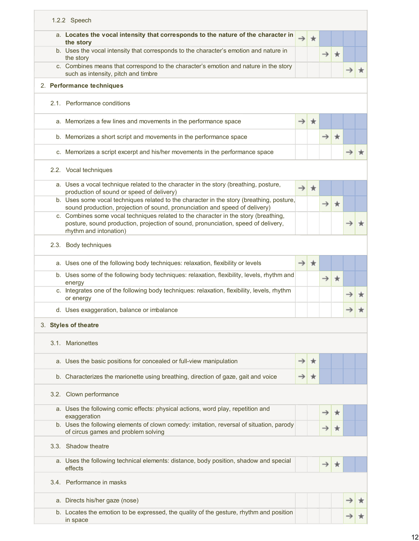| 1.2.2 Speech                                                                                                                                                                                       |               |         |               |         |  |
|----------------------------------------------------------------------------------------------------------------------------------------------------------------------------------------------------|---------------|---------|---------------|---------|--|
| a. Locates the vocal intensity that corresponds to the nature of the character in<br>the story                                                                                                     | →             | ∗       |               |         |  |
| b. Uses the vocal intensity that corresponds to the character's emotion and nature in<br>the story                                                                                                 |               |         | $\rightarrow$ | $\star$ |  |
| c. Combines means that correspond to the character's emotion and nature in the story<br>such as intensity, pitch and timbre                                                                        |               |         |               |         |  |
| 2. Performance techniques                                                                                                                                                                          |               |         |               |         |  |
| 2.1. Performance conditions                                                                                                                                                                        |               |         |               |         |  |
| a. Memorizes a few lines and movements in the performance space                                                                                                                                    | →             | 食       |               |         |  |
| b. Memorizes a short script and movements in the performance space                                                                                                                                 |               |         | $\rightarrow$ | $\star$ |  |
| c. Memorizes a script excerpt and his/her movements in the performance space                                                                                                                       |               |         |               |         |  |
| 2.2. Vocal techniques                                                                                                                                                                              |               |         |               |         |  |
| a. Uses a vocal technique related to the character in the story (breathing, posture,<br>production of sound or speed of delivery)                                                                  | $\rightarrow$ | ★       |               |         |  |
| b. Uses some vocal techniques related to the character in the story (breathing, posture,<br>sound production, projection of sound, pronunciation and speed of delivery)                            |               |         | →             | $\star$ |  |
| c. Combines some vocal techniques related to the character in the story (breathing,<br>posture, sound production, projection of sound, pronunciation, speed of delivery,<br>rhythm and intonation) |               |         |               |         |  |
| 2.3. Body techniques                                                                                                                                                                               |               |         |               |         |  |
| a. Uses one of the following body techniques: relaxation, flexibility or levels                                                                                                                    | $\rightarrow$ | $\star$ |               |         |  |
| b. Uses some of the following body techniques: relaxation, flexibility, levels, rhythm and<br>energy                                                                                               |               |         | →             | $\star$ |  |
| c. Integrates one of the following body techniques: relaxation, flexibility, levels, rhythm<br>or energy                                                                                           |               |         |               |         |  |
| d. Uses exaggeration, balance or imbalance                                                                                                                                                         |               |         |               |         |  |
| 3. Styles of theatre                                                                                                                                                                               |               |         |               |         |  |
| 3.1. Marionettes                                                                                                                                                                                   |               |         |               |         |  |
| a. Uses the basic positions for concealed or full-view manipulation                                                                                                                                |               | ж       |               |         |  |
| b. Characterizes the marionette using breathing, direction of gaze, gait and voice                                                                                                                 | →             |         |               |         |  |
| 3.2. Clown performance                                                                                                                                                                             |               |         |               |         |  |
| a. Uses the following comic effects: physical actions, word play, repetition and<br>exaggeration                                                                                                   |               |         |               |         |  |
| b. Uses the following elements of clown comedy: imitation, reversal of situation, parody<br>of circus games and problem solving                                                                    |               |         |               |         |  |
| 3.3. Shadow theatre                                                                                                                                                                                |               |         |               |         |  |
| a. Uses the following technical elements: distance, body position, shadow and special<br>effects                                                                                                   |               |         |               |         |  |
| 3.4. Performance in masks                                                                                                                                                                          |               |         |               |         |  |
| a. Directs his/her gaze (nose)                                                                                                                                                                     |               |         |               |         |  |
| b. Locates the emotion to be expressed, the quality of the gesture, rhythm and position<br>in space                                                                                                |               |         |               |         |  |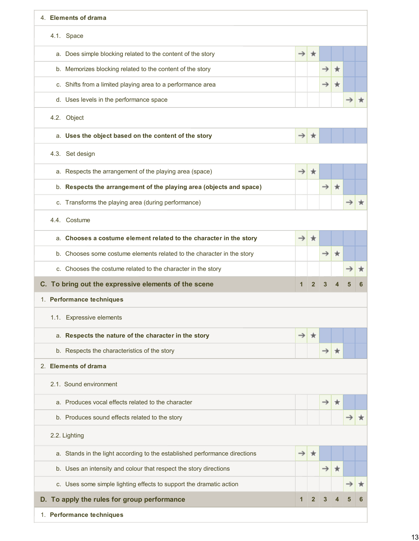| 4. Elements of drama                                                       |               |                |               |         |  |
|----------------------------------------------------------------------------|---------------|----------------|---------------|---------|--|
| 4.1. Space                                                                 |               |                |               |         |  |
| a. Does simple blocking related to the content of the story                | →             | ★              |               |         |  |
| b. Memorizes blocking related to the content of the story                  |               |                | $\rightarrow$ | $\star$ |  |
| c. Shifts from a limited playing area to a performance area                |               |                | →             |         |  |
| d. Uses levels in the performance space                                    |               |                |               |         |  |
| 4.2. Object                                                                |               |                |               |         |  |
| a. Uses the object based on the content of the story                       | $\rightarrow$ | ₩              |               |         |  |
| 4.3. Set design                                                            |               |                |               |         |  |
| a. Respects the arrangement of the playing area (space)                    | $\rightarrow$ | $\star$        |               |         |  |
| b. Respects the arrangement of the playing area (objects and space)        |               |                | $\rightarrow$ | $\star$ |  |
| c. Transforms the playing area (during performance)                        |               |                |               |         |  |
| 4.4. Costume                                                               |               |                |               |         |  |
| a. Chooses a costume element related to the character in the story         | $\rightarrow$ | ★              |               |         |  |
| b. Chooses some costume elements related to the character in the story     |               |                | $\rightarrow$ | $\star$ |  |
| c. Chooses the costume related to the character in the story               |               |                |               |         |  |
| C. To bring out the expressive elements of the scene                       | 1             | $\mathbf{2}$   |               |         |  |
| 1. Performance techniques                                                  |               |                |               |         |  |
| 1.1. Expressive elements                                                   |               |                |               |         |  |
| a. Respects the nature of the character in the story                       | →             | ж              |               |         |  |
| b. Respects the characteristics of the story                               |               |                |               | ∗       |  |
| 2. Elements of drama                                                       |               |                |               |         |  |
| 2.1. Sound environment                                                     |               |                |               |         |  |
| a. Produces vocal effects related to the character                         |               |                | →             |         |  |
| b. Produces sound effects related to the story                             |               |                |               |         |  |
| 2.2. Lighting                                                              |               |                |               |         |  |
| a. Stands in the light according to the established performance directions | $\rightarrow$ | ★              |               |         |  |
| b. Uses an intensity and colour that respect the story directions          |               |                | →             | ★       |  |
| c. Uses some simple lighting effects to support the dramatic action        |               |                |               |         |  |
| D. To apply the rules for group performance                                | $\mathbf{1}$  | $\overline{2}$ |               |         |  |
| 1. Performance techniques                                                  |               |                |               |         |  |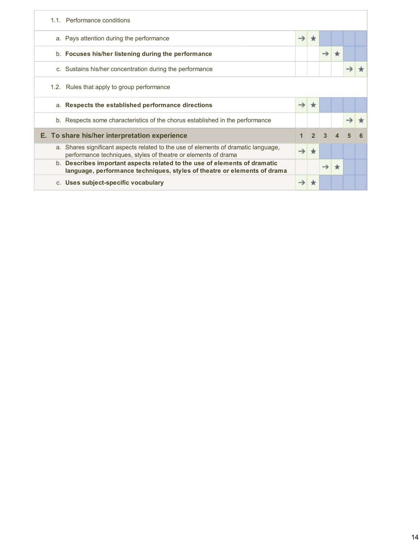| 1.1. Performance conditions                                                                                                                                   |               |                 |                        |   |  |
|---------------------------------------------------------------------------------------------------------------------------------------------------------------|---------------|-----------------|------------------------|---|--|
| a. Pays attention during the performance                                                                                                                      | $\rightarrow$ |                 |                        |   |  |
| b. Focuses his/her listening during the performance                                                                                                           |               | $\rightarrow$   | $\star$                |   |  |
| c. Sustains his/her concentration during the performance                                                                                                      |               |                 |                        |   |  |
| 1.2. Rules that apply to group performance                                                                                                                    |               |                 |                        |   |  |
| a. Respects the established performance directions                                                                                                            |               |                 |                        |   |  |
| b. Respects some characteristics of the chorus established in the performance                                                                                 |               |                 |                        |   |  |
| E. To share his/her interpretation experience                                                                                                                 |               | $2 \mid 3 \mid$ | $\boldsymbol{\Lambda}$ | 5 |  |
| a. Shares significant aspects related to the use of elements of dramatic language,<br>performance techniques, styles of theatre or elements of drama          |               |                 |                        |   |  |
| Describes important aspects related to the use of elements of dramatic<br>$b_{-}$<br>language, performance techniques, styles of theatre or elements of drama |               |                 |                        |   |  |
| c. Uses subject-specific vocabulary                                                                                                                           |               |                 |                        |   |  |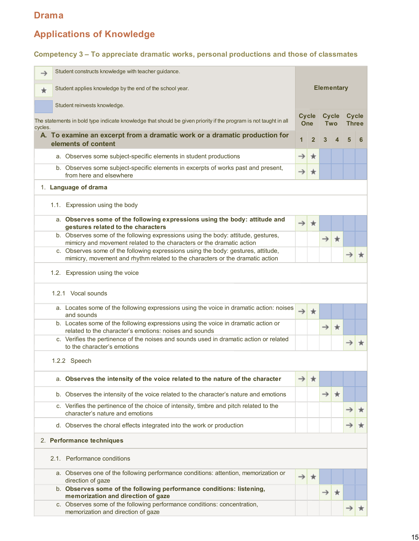# **Applications of Knowledge**

#### **Competency 3 – To appreciate dramatic works, personal productions and those of classmates**

| →                               | Student constructs knowledge with teacher guidance.                                                                                                                |                            |                |                            |                  |                              |   |  |  |  |  |
|---------------------------------|--------------------------------------------------------------------------------------------------------------------------------------------------------------------|----------------------------|----------------|----------------------------|------------------|------------------------------|---|--|--|--|--|
| ★                               | Student applies knowledge by the end of the school year.                                                                                                           | <b>Elementary</b>          |                |                            |                  |                              |   |  |  |  |  |
|                                 | Student reinvests knowledge.                                                                                                                                       |                            |                |                            |                  |                              |   |  |  |  |  |
| cycles.                         | The statements in bold type indicate knowledge that should be given priority if the program is not taught in all                                                   | <b>Cycle</b><br><b>One</b> |                | <b>Cycle</b><br><b>Two</b> |                  | <b>Cycle</b><br><b>Three</b> |   |  |  |  |  |
|                                 | A. To examine an excerpt from a dramatic work or a dramatic production for<br>elements of content                                                                  | 1                          | $\overline{2}$ | 3                          | $\boldsymbol{A}$ | 5                            | 6 |  |  |  |  |
|                                 | a. Observes some subject-specific elements in student productions                                                                                                  | $\rightarrow$              | $\star$        |                            |                  |                              |   |  |  |  |  |
|                                 | b. Observes some subject-specific elements in excerpts of works past and present,<br>from here and elsewhere                                                       | →                          | ★              |                            |                  |                              |   |  |  |  |  |
|                                 | 1. Language of drama                                                                                                                                               |                            |                |                            |                  |                              |   |  |  |  |  |
| 1.1. Expression using the body  |                                                                                                                                                                    |                            |                |                            |                  |                              |   |  |  |  |  |
|                                 | a. Observes some of the following expressions using the body: attitude and<br>gestures related to the characters                                                   | $\rightarrow$              | $\star$        |                            |                  |                              |   |  |  |  |  |
|                                 | b. Observes some of the following expressions using the body: attitude, gestures,<br>mimicry and movement related to the characters or the dramatic action         |                            |                | $\rightarrow$              | $\star$          |                              |   |  |  |  |  |
|                                 | c. Observes some of the following expressions using the body: gestures, attitude,<br>mimicry, movement and rhythm related to the characters or the dramatic action |                            |                |                            |                  | →                            |   |  |  |  |  |
| 1.2. Expression using the voice |                                                                                                                                                                    |                            |                |                            |                  |                              |   |  |  |  |  |
| 1.2.1 Vocal sounds              |                                                                                                                                                                    |                            |                |                            |                  |                              |   |  |  |  |  |
|                                 | a. Locates some of the following expressions using the voice in dramatic action: noises<br>and sounds                                                              | $\rightarrow$              | $\star$        |                            |                  |                              |   |  |  |  |  |
|                                 | b. Locates some of the following expressions using the voice in dramatic action or<br>related to the character's emotions: noises and sounds                       |                            |                | $\rightarrow$              | $\star$          |                              |   |  |  |  |  |
|                                 | c. Verifies the pertinence of the noises and sounds used in dramatic action or related<br>to the character's emotions                                              |                            |                |                            |                  | →                            |   |  |  |  |  |
|                                 | 1.2.2 Speech                                                                                                                                                       |                            |                |                            |                  |                              |   |  |  |  |  |
|                                 | a. Observes the intensity of the voice related to the nature of the character                                                                                      | →                          | ★              |                            |                  |                              |   |  |  |  |  |
|                                 | b. Observes the intensity of the voice related to the character's nature and emotions                                                                              |                            |                | $\rightarrow$              | $\star$          |                              |   |  |  |  |  |
|                                 | c. Verifies the pertinence of the choice of intensity, timbre and pitch related to the<br>character's nature and emotions                                          |                            |                |                            |                  | →                            |   |  |  |  |  |
|                                 | d. Observes the choral effects integrated into the work or production                                                                                              |                            |                |                            |                  |                              |   |  |  |  |  |
| 2. Performance techniques       |                                                                                                                                                                    |                            |                |                            |                  |                              |   |  |  |  |  |
|                                 | 2.1. Performance conditions                                                                                                                                        |                            |                |                            |                  |                              |   |  |  |  |  |
|                                 | a. Observes one of the following performance conditions: attention, memorization or<br>direction of gaze                                                           | →                          | $\pi$          |                            |                  |                              |   |  |  |  |  |
|                                 | b. Observes some of the following performance conditions: listening,<br>memorization and direction of gaze                                                         |                            |                |                            | $\star$          |                              |   |  |  |  |  |
|                                 | c. Observes some of the following performance conditions: concentration,<br>memorization and direction of gaze                                                     |                            |                |                            |                  |                              |   |  |  |  |  |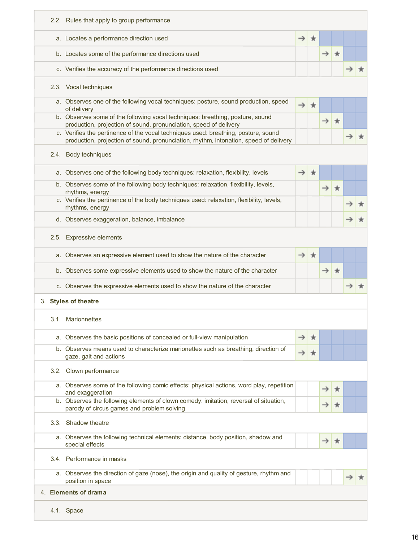|  | 2.2. Rules that apply to group performance                                                                                                                                  |               |   |               |         |  |
|--|-----------------------------------------------------------------------------------------------------------------------------------------------------------------------------|---------------|---|---------------|---------|--|
|  | a. Locates a performance direction used                                                                                                                                     | →             |   |               |         |  |
|  | b. Locates some of the performance directions used                                                                                                                          |               |   | $\rightarrow$ | $\star$ |  |
|  | c. Verifies the accuracy of the performance directions used                                                                                                                 |               |   |               |         |  |
|  | 2.3. Vocal techniques                                                                                                                                                       |               |   |               |         |  |
|  | a. Observes one of the following vocal techniques: posture, sound production, speed<br>of delivery                                                                          |               |   |               |         |  |
|  | b. Observes some of the following vocal techniques: breathing, posture, sound<br>production, projection of sound, pronunciation, speed of delivery                          |               |   | →             | $\star$ |  |
|  | c. Verifies the pertinence of the vocal techniques used: breathing, posture, sound<br>production, projection of sound, pronunciation, rhythm, intonation, speed of delivery |               |   |               |         |  |
|  | 2.4. Body techniques                                                                                                                                                        |               |   |               |         |  |
|  | a. Observes one of the following body techniques: relaxation, flexibility, levels                                                                                           |               | ж |               |         |  |
|  | b. Observes some of the following body techniques: relaxation, flexibility, levels,<br>rhythms, energy                                                                      |               |   | $\rightarrow$ | $\star$ |  |
|  | c. Verifies the pertinence of the body techniques used: relaxation, flexibility, levels,<br>rhythms, energy                                                                 |               |   |               |         |  |
|  | d. Observes exaggeration, balance, imbalance                                                                                                                                |               |   |               |         |  |
|  | 2.5. Expressive elements                                                                                                                                                    |               |   |               |         |  |
|  | a. Observes an expressive element used to show the nature of the character                                                                                                  | $\rightarrow$ | ★ |               |         |  |
|  | b. Observes some expressive elements used to show the nature of the character                                                                                               |               |   | $\rightarrow$ | $\star$ |  |
|  | c. Observes the expressive elements used to show the nature of the character                                                                                                |               |   |               |         |  |
|  | 3. Styles of theatre                                                                                                                                                        |               |   |               |         |  |
|  | 3.1. Marionnettes                                                                                                                                                           |               |   |               |         |  |
|  | a. Observes the basic positions of concealed or full-view manipulation                                                                                                      | →             |   |               |         |  |
|  | b. Observes means used to characterize marionettes such as breathing, direction of<br>gaze, gait and actions                                                                | $\rightarrow$ | ★ |               |         |  |
|  | 3.2. Clown performance                                                                                                                                                      |               |   |               |         |  |
|  | a. Observes some of the following comic effects: physical actions, word play, repetition<br>and exaggeration                                                                |               |   |               |         |  |
|  | b. Observes the following elements of clown comedy: imitation, reversal of situation,<br>parody of circus games and problem solving                                         |               |   |               | ★       |  |
|  | 3.3. Shadow theatre                                                                                                                                                         |               |   |               |         |  |
|  | a. Observes the following technical elements: distance, body position, shadow and<br>special effects                                                                        |               |   | →             | ж       |  |
|  | 3.4. Performance in masks                                                                                                                                                   |               |   |               |         |  |
|  | a. Observes the direction of gaze (nose), the origin and quality of gesture, rhythm and<br>position in space                                                                |               |   |               |         |  |
|  | 4. Elements of drama                                                                                                                                                        |               |   |               |         |  |
|  | 4.1. Space                                                                                                                                                                  |               |   |               |         |  |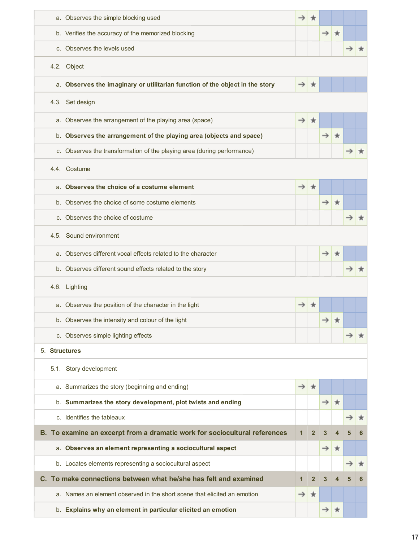|               | a. Observes the simple blocking used                                         | →             |                |               |               |   |   |  |  |  |
|---------------|------------------------------------------------------------------------------|---------------|----------------|---------------|---------------|---|---|--|--|--|
|               | b. Verifies the accuracy of the memorized blocking                           |               |                | $\rightarrow$ | $\rightarrow$ |   |   |  |  |  |
|               | c. Observes the levels used                                                  |               |                |               |               |   |   |  |  |  |
|               | 4.2. Object                                                                  |               |                |               |               |   |   |  |  |  |
|               | a. Observes the imaginary or utilitarian function of the object in the story | →             | ∗              |               |               |   |   |  |  |  |
|               | 4.3. Set design                                                              |               |                |               |               |   |   |  |  |  |
|               | a. Observes the arrangement of the playing area (space)                      | →             | ★              |               |               |   |   |  |  |  |
|               | b. Observes the arrangement of the playing area (objects and space)          |               |                | $\rightarrow$ | $\star$       |   |   |  |  |  |
|               | c. Observes the transformation of the playing area (during performance)      |               |                |               |               |   |   |  |  |  |
| 4.4. Costume  |                                                                              |               |                |               |               |   |   |  |  |  |
| a.            | Observes the choice of a costume element                                     | →             | $\star$        |               |               |   |   |  |  |  |
|               | b. Observes the choice of some costume elements                              |               |                | →             | ∗             |   |   |  |  |  |
|               | c. Observes the choice of costume                                            |               |                |               |               |   |   |  |  |  |
|               | 4.5. Sound environment                                                       |               |                |               |               |   |   |  |  |  |
| a.            | Observes different vocal effects related to the character                    |               |                | $\rightarrow$ | $\star$       |   |   |  |  |  |
|               | b. Observes different sound effects related to the story                     |               |                |               |               |   |   |  |  |  |
|               | 4.6. Lighting                                                                |               |                |               |               |   |   |  |  |  |
|               | a. Observes the position of the character in the light                       |               |                |               |               |   |   |  |  |  |
|               | b. Observes the intensity and colour of the light                            |               |                | →             |               |   |   |  |  |  |
|               | c. Observes simple lighting effects                                          |               |                |               |               |   |   |  |  |  |
| 5. Structures |                                                                              |               |                |               |               |   |   |  |  |  |
|               | 5.1. Story development                                                       |               |                |               |               |   |   |  |  |  |
|               | a. Summarizes the story (beginning and ending)                               | →             | ★              |               |               |   |   |  |  |  |
|               | b. Summarizes the story development, plot twists and ending                  |               |                | $\rightarrow$ | $\star$       |   |   |  |  |  |
|               | c. Identifies the tableaux                                                   |               |                |               |               |   |   |  |  |  |
|               | B. To examine an excerpt from a dramatic work for sociocultural references   | 1             | $\overline{2}$ | 3             |               |   |   |  |  |  |
|               | a. Observes an element representing a sociocultural aspect                   |               |                | $\rightarrow$ | $\star$       |   |   |  |  |  |
|               | b. Locates elements representing a sociocultural aspect                      |               |                |               |               | → | ★ |  |  |  |
|               | C. To make connections between what he/she has felt and examined             | 1             | $\overline{2}$ | 3             | 4             | 5 | 6 |  |  |  |
|               | a. Names an element observed in the short scene that elicited an emotion     | $\rightarrow$ | $\star$        |               |               |   |   |  |  |  |
|               | b. Explains why an element in particular elicited an emotion                 |               |                | →             | ★             |   |   |  |  |  |